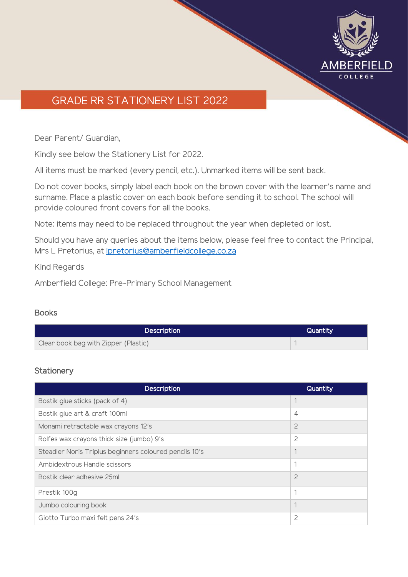

# GRADE RR STATIONERY LIST 2022

Dear Parent/ Guardian,

Kindly see below the Stationery List for 2022.

All items must be marked (every pencil, etc.). Unmarked items will be sent back.

Do not cover books, simply label each book on the brown cover with the learner's name and surname. Place a plastic cover on each book before sending it to school. The school will provide coloured front covers for all the books.

Note: items may need to be replaced throughout the year when depleted or lost.

Should you have any queries about the items below, please feel free to contact the Principal, Mrs L Pretorius, at [lpretorius@amberfieldcollege.co.za](mailto:lpretorius@amberfieldcollege.co.za)

Kind Regards

Amberfield College: Pre-Primary School Management

### Books

| <b>Description</b>                   | Quantity |  |
|--------------------------------------|----------|--|
| Clear book bag with Zipper (Plastic) |          |  |

### **Stationery**

| <b>Description</b>                                     | Quantity       |
|--------------------------------------------------------|----------------|
| Bostik glue sticks (pack of 4)                         |                |
| Bostik glue art & craft 100ml                          | $\overline{4}$ |
| Monami retractable wax crayons 12's                    | $\overline{c}$ |
| Rolfes wax crayons thick size (jumbo) 9's              | $\overline{c}$ |
| Steadler Noris Triplus beginners coloured pencils 10's |                |
| Ambidextrous Handle scissors                           | 1              |
| Bostik clear adhesive 25ml                             | $\overline{c}$ |
| Prestik 100g                                           |                |
| Jumbo colouring book                                   |                |
| Giotto Turbo maxi felt pens 24's                       | 2              |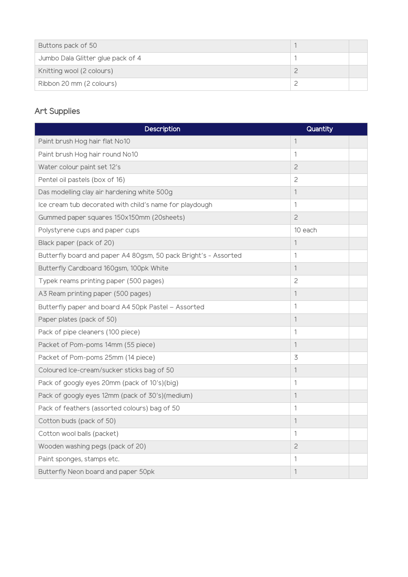| Buttons pack of 50                |  |
|-----------------------------------|--|
| Jumbo Dala Glitter glue pack of 4 |  |
| Knitting wool (2 colours)         |  |
| Ribbon 20 mm (2 colours)          |  |

## Art Supplies

| <b>Description</b>                                              | Quantity       |  |
|-----------------------------------------------------------------|----------------|--|
| Paint brush Hog hair flat No10                                  | $\mathbf{1}$   |  |
| Paint brush Hog hair round No10                                 | 1              |  |
| Water colour paint set 12's                                     | $\mathbf{2}$   |  |
| Pentel oil pastels (box of 16)                                  | 2              |  |
| Das modelling clay air hardening white 500g                     | 1              |  |
| Ice cream tub decorated with child's name for playdough         | 1              |  |
| Gummed paper squares 150x150mm (20sheets)                       | $\overline{c}$ |  |
| Polystyrene cups and paper cups                                 | 10 each        |  |
| Black paper (pack of 20)                                        | 1              |  |
| Butterfly board and paper A4 80gsm, 50 pack Bright's - Assorted | 1              |  |
| Butterfly Cardboard 160gsm, 100pk White                         | 1              |  |
| Typek reams printing paper (500 pages)                          | 2              |  |
| A3 Ream printing paper (500 pages)                              | 1              |  |
| Butterfly paper and board A4 50pk Pastel - Assorted             | 1              |  |
| Paper plates (pack of 50)                                       | 1              |  |
| Pack of pipe cleaners (100 piece)                               | 1              |  |
| Packet of Pom-poms 14mm (55 piece)                              | 1              |  |
| Packet of Pom-poms 25mm (14 piece)                              | 3              |  |
| Coloured Ice-cream/sucker sticks bag of 50                      | 1              |  |
| Pack of googly eyes 20mm (pack of 10's)(big)                    | 1              |  |
| Pack of googly eyes 12mm (pack of 30's)(medium)                 | 1              |  |
| Pack of feathers (assorted colours) bag of 50                   | 1              |  |
| Cotton buds (pack of 50)                                        | 1              |  |
| Cotton wool balls (packet)                                      | 1              |  |
| Wooden washing pegs (pack of 20)                                | $\overline{c}$ |  |
| Paint sponges, stamps etc.                                      | 1              |  |
| Butterfly Neon board and paper 50pk                             | 1              |  |